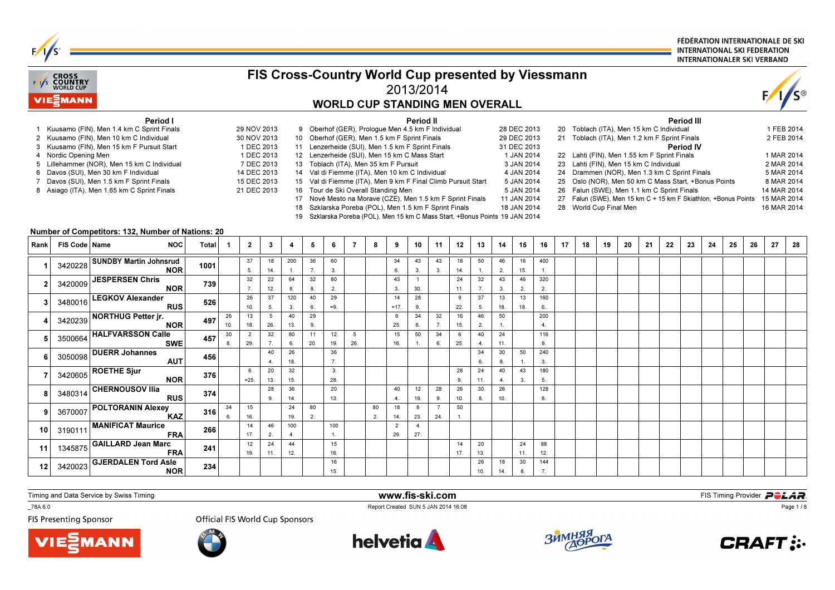| FIS Cross-Country World Cup presented by Viessmann |                                           |                                                                                                                                                                                                                                                                                                                                   |              |          |                                                                                                                   |              |                     |           |             |                                                                                                                                                                                                                                                                                                                                                                                                                                                                                                                                                                                                            |   |              |                       |          |           | FÉDÉRATION INTERNATIONALE DE SKI<br><b>INTERNATIONAL SKI FEDERATION</b><br><b>INTERNATIONALER SKI VERBAND</b> |           |                                                                                                                                               |                |    |                                                                                                                                                                                                                                                                                                                                                                   |    |    |    |    |                                |    |                                                                |    |                                                                                                                               |    |
|----------------------------------------------------|-------------------------------------------|-----------------------------------------------------------------------------------------------------------------------------------------------------------------------------------------------------------------------------------------------------------------------------------------------------------------------------------|--------------|----------|-------------------------------------------------------------------------------------------------------------------|--------------|---------------------|-----------|-------------|------------------------------------------------------------------------------------------------------------------------------------------------------------------------------------------------------------------------------------------------------------------------------------------------------------------------------------------------------------------------------------------------------------------------------------------------------------------------------------------------------------------------------------------------------------------------------------------------------------|---|--------------|-----------------------|----------|-----------|---------------------------------------------------------------------------------------------------------------|-----------|-----------------------------------------------------------------------------------------------------------------------------------------------|----------------|----|-------------------------------------------------------------------------------------------------------------------------------------------------------------------------------------------------------------------------------------------------------------------------------------------------------------------------------------------------------------------|----|----|----|----|--------------------------------|----|----------------------------------------------------------------|----|-------------------------------------------------------------------------------------------------------------------------------|----|
|                                                    | <b>CROSS</b><br>F/I/S COUNTRY<br>VIEZMANN |                                                                                                                                                                                                                                                                                                                                   |              |          |                                                                                                                   |              |                     |           |             | <b>WORLD CUP STANDING MEN OVERALL</b>                                                                                                                                                                                                                                                                                                                                                                                                                                                                                                                                                                      |   |              | 2013/2014             |          |           |                                                                                                               |           |                                                                                                                                               |                |    |                                                                                                                                                                                                                                                                                                                                                                   |    |    |    |    |                                |    |                                                                |    |                                                                                                                               |    |
|                                                    | Nordic Opening Men                        | <b>Period I</b><br>Kuusamo (FIN), Men 1.4 km C Sprint Finals<br>2 Kuusamo (FIN), Men 10 km C Individual<br>Kuusamo (FIN), Men 15 km F Pursuit Start<br>Lillehammer (NOR), Men 15 km C Individual<br>Davos (SUI), Men 30 km F Individual<br>Davos (SUI), Men 1.5 km F Sprint Finals<br>8 Asiago (ITA), Men 1.65 km C Sprint Finals |              |          | 29 NOV 2013<br>30 NOV 2013<br>1 DEC 2013<br>1 DEC 2013<br>7 DEC 2013<br>14 DEC 2013<br>15 DEC 2013<br>21 DEC 2013 |              | 19                  |           |             | 9 Oberhof (GER), Prologue Men 4.5 km F Individual<br>10 Oberhof (GER), Men 1.5 km F Sprint Finals<br>11 Lenzerheide (SUI), Men 1.5 km F Sprint Finals<br>12 Lenzerheide (SUI), Men 15 km C Mass Start<br>13 Toblach (ITA), Men 35 km F Pursuit<br>14 Val di Fiemme (ITA), Men 10 km C Individual<br>15 Val di Fiemme (ITA), Men 9 km F Final Climb Pursuit Start<br>16 Tour de Ski Overall Standing Men<br>17 Nové Mesto na Morave (CZE), Men 1.5 km F Sprint Finals<br>18 Szklarska Poreba (POL), Men 1.5 km F Sprint Finals<br>Szklarska Poreba (POL), Men 15 km C Mass Start, +Bonus Points 19 JAN 2014 |   |              | Period II             |          |           |                                                                                                               |           | 28 DEC 2013<br>29 DEC 2013<br>31 DEC 2013<br>1 JAN 2014<br>3 JAN 2014<br>4 JAN 2014<br>5 JAN 2014<br>5 JAN 2014<br>11 JAN 2014<br>18 JAN 2014 |                |    | 20 Toblach (ITA), Men 15 km C Individual<br>21 Toblach (ITA), Men 1.2 km F Sprint Finals<br>22 Lahti (FIN), Men 1.55 km F Sprint Finals<br>23 Lahti (FIN). Men 15 km C Individual<br>24 Drammen (NOR), Men 1.3 km C Sprint Finals<br>25 Oslo (NOR), Men 50 km C Mass Start, +Bonus Points<br>26 Falun (SWE), Men 1.1 km C Sprint Finals<br>28 World Cup Final Men |    |    |    |    | Period III<br><b>Period IV</b> |    | 27 Falun (SWE), Men 15 km C + 15 km F Skiathlon, +Bonus Points |    | 1 FEB 2014<br>2 FEB 2014<br>1 MAR 2014<br>2 MAR 2014<br>5 MAR 2014<br>8 MAR 2014<br>14 MAR 2014<br>15 MAR 2014<br>16 MAR 2014 |    |
| Rank                                               | FIS Code   Name                           | Number of Competitors: 132, Number of Nations: 20<br><b>NOC</b>                                                                                                                                                                                                                                                                   | <b>Total</b> | -1       | $\mathbf{2}$                                                                                                      | $\mathbf{3}$ | $\boldsymbol{4}$    | -5        | 6           | -7                                                                                                                                                                                                                                                                                                                                                                                                                                                                                                                                                                                                         | 8 | 9            | 10                    | 11       | 12        | 13                                                                                                            | 14        | 15                                                                                                                                            | 16             | 17 | 18                                                                                                                                                                                                                                                                                                                                                                | 19 | 20 | 21 | 22 | 23                             | 24 | 25                                                             | 26 | 27                                                                                                                            | 28 |
|                                                    |                                           |                                                                                                                                                                                                                                                                                                                                   |              |          |                                                                                                                   |              |                     |           |             |                                                                                                                                                                                                                                                                                                                                                                                                                                                                                                                                                                                                            |   |              |                       |          |           |                                                                                                               |           |                                                                                                                                               |                |    |                                                                                                                                                                                                                                                                                                                                                                   |    |    |    |    |                                |    |                                                                |    |                                                                                                                               |    |
|                                                    | 3420228                                   | <b>SUNDBY Martin Johnsrud</b><br><b>NOR</b>                                                                                                                                                                                                                                                                                       | 1001         |          | 37<br>5.                                                                                                          | 18<br>14.    | 200<br>$\mathbf{1}$ | 36<br>7.  | 60<br>3.    |                                                                                                                                                                                                                                                                                                                                                                                                                                                                                                                                                                                                            |   | 34<br>6.     | 43<br>3.              | 43<br>3. | 18<br>14. | 50<br>$\mathbf{1}$ .                                                                                          | 46<br>2.  | 16<br>15.                                                                                                                                     | 400            |    |                                                                                                                                                                                                                                                                                                                                                                   |    |    |    |    |                                |    |                                                                |    |                                                                                                                               |    |
| $\overline{2}$                                     | 3420009                                   | <b>JESPERSEN Chris</b><br><b>NOR</b>                                                                                                                                                                                                                                                                                              | 739          |          | 32<br>7.                                                                                                          | 22<br>12.    | 64<br>8.            | 32<br>8.  | 80<br>2.    |                                                                                                                                                                                                                                                                                                                                                                                                                                                                                                                                                                                                            |   | 43<br>3.     | $\overline{1}$<br>30. |          | 24<br>11. | 32<br>7.                                                                                                      | 43<br>3.  | 46<br>2.                                                                                                                                      | 320<br>2.      |    |                                                                                                                                                                                                                                                                                                                                                                   |    |    |    |    |                                |    |                                                                |    |                                                                                                                               |    |
| 3                                                  | 3480016                                   | <b>LEGKOV Alexander</b><br><b>RUS</b>                                                                                                                                                                                                                                                                                             | 526          |          | 26<br>10.                                                                                                         | 37<br>5.     | 120<br>3.           | 40<br>6.  | 29<br>$=9.$ |                                                                                                                                                                                                                                                                                                                                                                                                                                                                                                                                                                                                            |   | 14<br>$=17.$ | 28<br>9.              |          | 9<br>22.  | 37<br>5.                                                                                                      | 13<br>18. | 13<br>18.                                                                                                                                     | 160<br>6.      |    |                                                                                                                                                                                                                                                                                                                                                                   |    |    |    |    |                                |    |                                                                |    |                                                                                                                               |    |
|                                                    |                                           | <b>NORTHUG Petter jr.</b>                                                                                                                                                                                                                                                                                                         |              | 26       | 13                                                                                                                | 5            | 40                  | 29        |             |                                                                                                                                                                                                                                                                                                                                                                                                                                                                                                                                                                                                            |   | 6            | 34                    | 32       | 16        | 46                                                                                                            | 50        |                                                                                                                                               | 200            |    |                                                                                                                                                                                                                                                                                                                                                                   |    |    |    |    |                                |    |                                                                |    |                                                                                                                               |    |
|                                                    | 3420239                                   | <b>NOR</b>                                                                                                                                                                                                                                                                                                                        | 497          | 10.      | 18.                                                                                                               | 26.          | 13.                 | 9.        |             |                                                                                                                                                                                                                                                                                                                                                                                                                                                                                                                                                                                                            |   | 25.          | 6.                    | 7.       | 15.       | 2.                                                                                                            | 1.        |                                                                                                                                               | $\overline{4}$ |    |                                                                                                                                                                                                                                                                                                                                                                   |    |    |    |    |                                |    |                                                                |    |                                                                                                                               |    |
|                                                    | 3500664                                   | <b>HALFVARSSON Calle</b><br><b>SWE</b>                                                                                                                                                                                                                                                                                            | 457          | 30<br>8. | $\overline{2}$<br>29.                                                                                             | 32<br>7.     | 80<br>6.            | 11<br>20. | 12<br>19.   | 5<br>26.                                                                                                                                                                                                                                                                                                                                                                                                                                                                                                                                                                                                   |   | 15<br>16.    | 50<br>$\mathbf{1}$ .  | 34<br>6. | 6<br>25.  | 40<br>4.                                                                                                      | 24<br>11. |                                                                                                                                               | 116<br>9.      |    |                                                                                                                                                                                                                                                                                                                                                                   |    |    |    |    |                                |    |                                                                |    |                                                                                                                               |    |
|                                                    | 3050098                                   | <b>DUERR Johannes</b><br><b>AUT</b>                                                                                                                                                                                                                                                                                               | 456          |          |                                                                                                                   | 40<br>4.     | 26<br>18.           |           | 36<br>7.    |                                                                                                                                                                                                                                                                                                                                                                                                                                                                                                                                                                                                            |   |              |                       |          |           | 34<br>6.                                                                                                      | 30<br>8.  | 50                                                                                                                                            | 240<br>3.      |    |                                                                                                                                                                                                                                                                                                                                                                   |    |    |    |    |                                |    |                                                                |    |                                                                                                                               |    |

**VIESMANN** 

3420605 ROETHE Sjur<br>NOR

9 3670007 POLTORANIN Alexey

1345875 GAILLARD Jean Marc

CHERNOUSOV Ilia RUS

MANIFICAT Maurice FRA

GJERDALEN Tord Asle NOR

\_78A 6.0

11

 $12$ 

7

<sup>3480314</sup>

10 319011

FIS Presenting Sponsor

<sup>3420023</sup>

Official FIS World Cup Sponsors

2013.

289.

462.

2411.

6=25.

15 16. $\frac{1}{14}$ 

9 3670007  $\left|\begin{array}{c|c|c|c|c|c|c|c} \hline \text{3670007} & \text{2222} & \text{346} \\ \text{KAZ} & \text{367} & \text{616} & \text{181} \\ \hline \end{array}\right| \begin{array}{c|c|c|c|c} \hline \text{191} & \text{211} & \text{212} & \text{213} & \text{241} \\ \hline \text{212} & \text{213} & \text{224} & \text{212} \\ \hline \end{array}$ 

 17. $\frac{1}{12}$ 

19.

<sup>376</sup>

<sup>374</sup>

<sup>316</sup>

<sup>266</sup>

<sup>241</sup>

<sup>234</sup>

346.

10 3190111  $\frac{37.10}{22}$   $\frac{27.10}{27}$   $\frac{28.10}{27}$   $\frac{27.10}{27}$   $\frac{27.10}{27}$   $\frac{27.10}{27}$   $\frac{27.10}{27}$   $\frac{27.10}{27}$   $\frac{27.10}{27}$   $\frac{27.10}{27}$ 

3215.

3614.

8.<sup>8</sup>

24 19.100

4.

4412.

802.

328.

2013.

100 1.15

16.

1615.



404.

1814.

229.

802.

1219.

823.

4 $27.$  289.

> 724.

www.fis-ski.com

2411.

308.

2013.

2610.

289.

2610.

50 $\mathbf{1}$ .

1417.

40 4.26

10.

1814.

433.

2411.

308.

180 5. $\frac{1}{128}$ 

8.

8812.

1447.

Report Created SUN 5 JAN 2014 16:08



**m**<br>A 16:08 **FIS Timing Provider** 



Page 1 / 8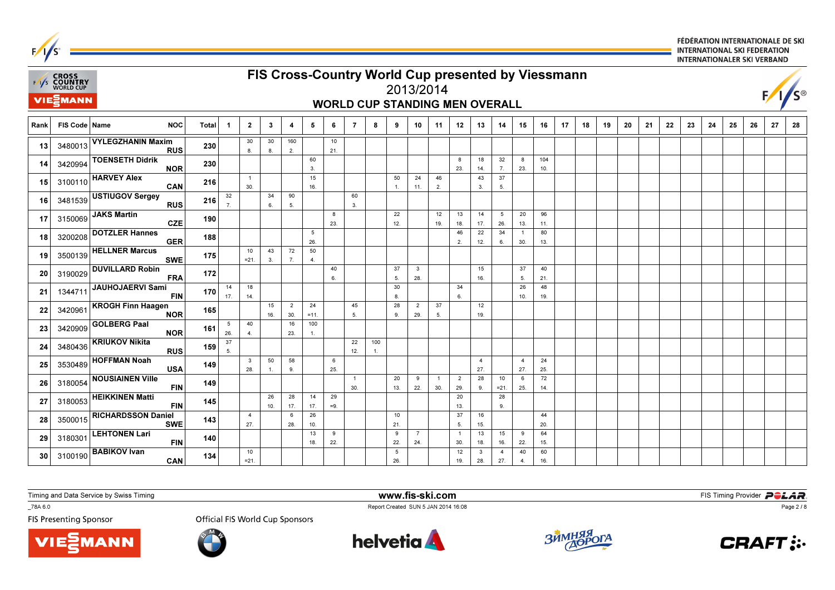|      |                                           |                                                               |              |                        |                         |              |                |               |           |                |     |                        |                |                                       |                      |                     |                        |                       |            |    | INTERNATIONALER SKI VERBAND<br>FIS Cross-Country World Cup presented by Viessmann |    |    |    |    |    |    |    |    |                 |    |  |  |  |
|------|-------------------------------------------|---------------------------------------------------------------|--------------|------------------------|-------------------------|--------------|----------------|---------------|-----------|----------------|-----|------------------------|----------------|---------------------------------------|----------------------|---------------------|------------------------|-----------------------|------------|----|-----------------------------------------------------------------------------------|----|----|----|----|----|----|----|----|-----------------|----|--|--|--|
|      | E/I/S CROSS<br>E/I/S COUNTRY<br>WORLD CUP |                                                               |              |                        |                         |              |                |               |           |                |     |                        |                | 2013/2014                             |                      |                     |                        |                       |            |    |                                                                                   |    |    |    |    |    |    |    |    | $F/1/S^{\circ}$ |    |  |  |  |
|      | <b>VIE</b> MANN                           |                                                               |              |                        |                         |              |                |               |           |                |     |                        |                | <b>WORLD CUP STANDING MEN OVERALL</b> |                      |                     |                        |                       |            |    |                                                                                   |    |    |    |    |    |    |    |    |                 |    |  |  |  |
| Rank | FIS Code   Name                           | <b>NOC</b>                                                    | <b>Total</b> | -1                     | $\overline{2}$          | $\mathbf{3}$ | 4              | 5             | 6         | $\overline{7}$ | 8   | 9                      | 10             | 11                                    | 12                   | 13                  | 14                     | 15                    | 16         | 17 | 18                                                                                | 19 | 20 | 21 | 22 | 23 | 24 | 25 | 26 | 27              | 28 |  |  |  |
| 13   | 3480013                                   | <b>VYLEGZHANIN Maxim</b><br><b>RUS</b>                        | 230          |                        | 30<br>8.                | 30<br>8.     | 160<br>2.      |               | 10<br>21. |                |     |                        |                |                                       |                      |                     |                        |                       |            |    |                                                                                   |    |    |    |    |    |    |    |    |                 |    |  |  |  |
| 14   | 3420994                                   | <b>TOENSETH Didrik</b><br><b>NOR</b>                          | 230          |                        |                         |              |                | 60<br>3.      |           |                |     |                        |                |                                       | 8<br>23.             | 18<br>14.           | 32<br>7.               | 8<br>23.              | 104<br>10. |    |                                                                                   |    |    |    |    |    |    |    |    |                 |    |  |  |  |
| 15   | 3100110                                   | <b>HARVEY Alex</b><br>CAN                                     | 216          |                        | $\overline{1}$<br>30.   |              |                | 15<br>16.     |           |                |     | 50<br>1.               | 24<br>11.      | 46<br>2.                              |                      | 43<br>3.            | 37<br>5.               |                       |            |    |                                                                                   |    |    |    |    |    |    |    |    |                 |    |  |  |  |
| 16   | 3481539                                   | <b>USTIUGOV Sergey</b><br><b>RUS</b>                          | 216          | 32<br>$\overline{7}$ . |                         | 34<br>6.     | 90<br>5.       |               |           | 60<br>3.       |     |                        |                |                                       |                      |                     |                        |                       |            |    |                                                                                   |    |    |    |    |    |    |    |    |                 |    |  |  |  |
| 17   | 3150069                                   | <b>JAKS Martin</b><br><b>CZE</b>                              | 190          |                        |                         |              |                |               | 8<br>23.  |                |     | 22<br>12.              |                | 12<br>19.                             | 13<br>18.            | 14<br>17.           | $5\overline{5}$<br>26. | 20<br>13.             | 96<br>11.  |    |                                                                                   |    |    |    |    |    |    |    |    |                 |    |  |  |  |
| 18   | 3200208                                   | <b>DOTZLER Hannes</b><br><b>GER</b>                           | 188          |                        | 10                      | 43           |                | 5<br>26.      |           |                |     |                        |                |                                       | 46<br>2.             | 22<br>12.           | 34<br>6.               | $\overline{1}$<br>30. | 80<br>13.  |    |                                                                                   |    |    |    |    |    |    |    |    |                 |    |  |  |  |
| 19   | 3500139                                   | <b>HELLNER Marcus</b><br><b>SWE</b><br><b>DUVILLARD Robin</b> | 175          |                        | $= 21.$                 | 3.           | 72<br>7.       | 50<br>4.      | 40        |                |     | 37                     | $\mathbf{3}$   |                                       |                      | 15                  |                        | 37                    | 40         |    |                                                                                   |    |    |    |    |    |    |    |    |                 |    |  |  |  |
| 20   | 3190029                                   | <b>FRA</b><br><b>JAUHOJAERVI Sami</b>                         | 172          | 14                     | 18                      |              |                |               | 6.        |                |     | 5.<br>30               | 28.            |                                       | 34                   | 16.                 |                        | 5.<br>26              | 21.<br>48  |    |                                                                                   |    |    |    |    |    |    |    |    |                 |    |  |  |  |
| 21   | 1344711                                   | <b>FIN</b><br><b>KROGH Finn Haagen</b>                        | 170          | 17.                    | 14.                     | 15           | $\overline{2}$ | 24            |           | 45             |     | 8.<br>28               | $\overline{2}$ | 37                                    | 6.                   | 12                  |                        | 10.                   | 19.        |    |                                                                                   |    |    |    |    |    |    |    |    |                 |    |  |  |  |
| 22   | 3420961                                   | <b>NOR</b><br><b>GOLBERG Paal</b>                             | 165          | $5\phantom{.0}$        | 40                      | 16.          | 30.<br>16      | $=11.$<br>100 |           | 5.             |     | 9.                     | 29.            | 5.                                    |                      | 19.                 |                        |                       |            |    |                                                                                   |    |    |    |    |    |    |    |    |                 |    |  |  |  |
| 23   | 3420909                                   | <b>NOR</b><br><b>KRIUKOV Nikita</b>                           | 161          | 26.<br>37              | 4.                      |              | 23.            | $\mathbf{1}$  |           | 22             | 100 |                        |                |                                       |                      |                     |                        |                       |            |    |                                                                                   |    |    |    |    |    |    |    |    |                 |    |  |  |  |
| 24   | 3480436                                   | <b>RUS</b><br><b>HOFFMAN Noah</b>                             | 159          | 5.                     | $\overline{\mathbf{3}}$ | 50           | 58             |               | 6         | 12.            | 1.  |                        |                |                                       |                      | $\overline{4}$      |                        | $\overline{4}$        | 24         |    |                                                                                   |    |    |    |    |    |    |    |    |                 |    |  |  |  |
| 25   | 3530489                                   | <b>USA</b><br><b>NOUSIAINEN Ville</b>                         | 149          |                        | 28.                     |              | 9.             |               | 25.       | -1             |     | 20                     | 9              | $\overline{1}$                        | $\overline{2}$       | 27.<br>28           | 10                     | 27.<br>6              | 25.<br>72  |    |                                                                                   |    |    |    |    |    |    |    |    |                 |    |  |  |  |
| 26   | 3180054                                   | <b>FIN</b><br><b>HEIKKINEN Matti</b>                          | 149          |                        |                         | 26           | 28             | 14            | 29        | 30.            |     | 13.                    | 22.            | 30.                                   | 29.<br>20            | 9.                  | $= 21$<br>28           | 25.                   | 14.        |    |                                                                                   |    |    |    |    |    |    |    |    |                 |    |  |  |  |
| 27   | 3180053                                   | <b>FIN</b><br><b>RICHARDSSON Daniel</b>                       | 145          |                        | $\overline{4}$          | 10.          | 17.<br>6       | 17.<br>26     | $=9.$     |                |     | 10                     |                |                                       | 13.<br>37            | 16                  | 9.                     |                       | 44         |    |                                                                                   |    |    |    |    |    |    |    |    |                 |    |  |  |  |
| 28   | 3500015                                   | <b>SWE</b><br><b>LEHTONEN Lari</b>                            | 143          |                        | 27.                     |              | 28.            | 10.<br>13     | 9         |                |     | 21.<br>9               | $\overline{7}$ |                                       | 5.<br>$\overline{1}$ | 15.<br>13           | 15                     | 9                     | 20.<br>64  |    |                                                                                   |    |    |    |    |    |    |    |    |                 |    |  |  |  |
| 29   | 3180301                                   | <b>FIN</b><br><b>BABIKOV Ivan</b>                             | 140          |                        | 10                      |              |                | 18.           | 22.       |                |     | 22.<br>$5\overline{5}$ | 24.            |                                       | 30.<br>12            | 18.<br>$\mathbf{3}$ | 16.<br>$\overline{4}$  | 22.<br>40             | 15.<br>60  |    |                                                                                   |    |    |    |    |    |    |    |    |                 |    |  |  |  |
| 30   | 3100190                                   | CAN                                                           | 134          |                        | $= 21.$                 |              |                |               |           |                |     | 26.                    |                |                                       | 19.                  | 28.                 | 27.                    | 4.                    | 16.        |    |                                                                                   |    |    |    |    |    |    |    |    |                 |    |  |  |  |

**VIE***MANN* 

\_78A 6.0

 $F/1/s^2$ 

FIS Presenting Sponsor

Report Created SUN 5 JAN 2014 16:08<br>Official FIS World Cup Sponsors





www.fis-ski.com





Page 2 / 8

FIS Timing Provider **POLAR**.

FÉDÉRATION INTERNATIONALE DE SKI

**INTERNATIONAL SKI FEDERATION**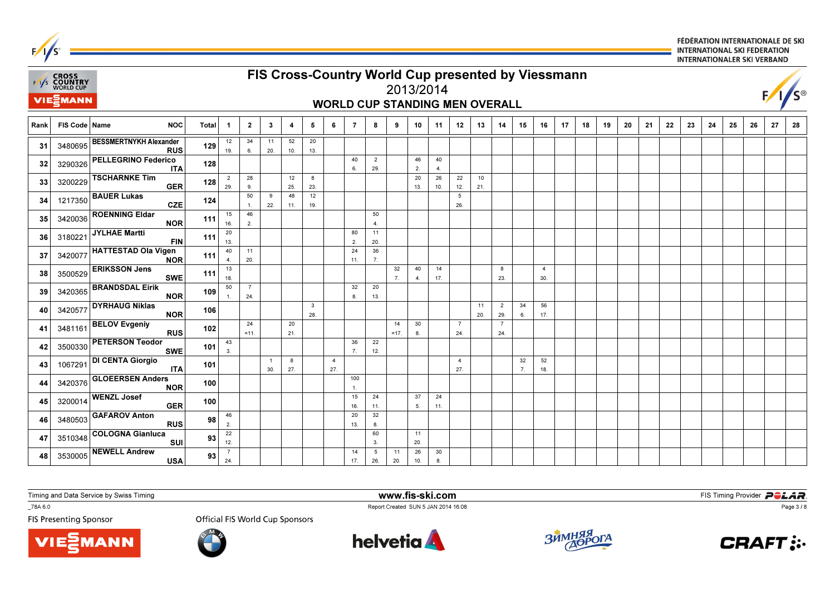

**VIE***MANN* 

\_78A 6.0

**FIS Presenting Sponsor** 

**Official FIS World Cup Sponsors** 





www.fis-ski.com

Report Created SUN 5 JAN 2014 16:08



**m**<br>A 16:08 **FIS Timing Provider** 



Page 3 / 8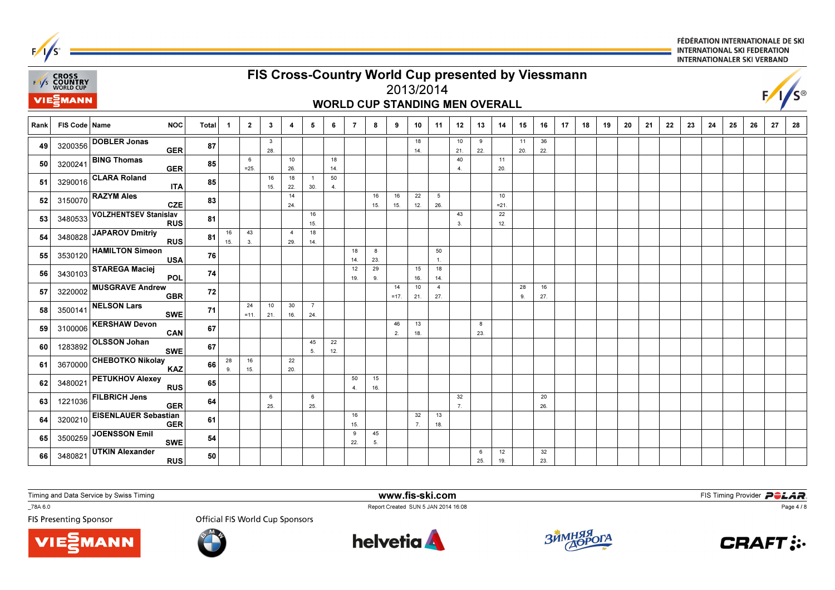| $\mathcal{L}$<br><b>INTERNATIONALER SKI VERBAND</b> |                                                                                                                                                           |                                            |              |              |                |                     |                       |                       |                      |                |                         |              |           |                       |                      |          |              |           |           |    |    |    |    |    |    |    |    |    |    |    |    |
|-----------------------------------------------------|-----------------------------------------------------------------------------------------------------------------------------------------------------------|--------------------------------------------|--------------|--------------|----------------|---------------------|-----------------------|-----------------------|----------------------|----------------|-------------------------|--------------|-----------|-----------------------|----------------------|----------|--------------|-----------|-----------|----|----|----|----|----|----|----|----|----|----|----|----|
|                                                     | FIS Cross-Country World Cup presented by Viessmann<br><b>EXAYS CROSS</b><br>EXAYS <b>COUNTRY</b><br>WORLD CUP<br>$F/1/S^{\circ}$<br>2013/2014<br>VIESMANN |                                            |              |              |                |                     |                       |                       |                      |                |                         |              |           |                       |                      |          |              |           |           |    |    |    |    |    |    |    |    |    |    |    |    |
|                                                     | <b>WORLD CUP STANDING MEN OVERALL</b>                                                                                                                     |                                            |              |              |                |                     |                       |                       |                      |                |                         |              |           |                       |                      |          |              |           |           |    |    |    |    |    |    |    |    |    |    |    |    |
| Rank                                                | FIS Code   Name                                                                                                                                           | <b>NOC</b>                                 | <b>Total</b> | $\mathbf{1}$ | $\overline{2}$ | $\mathbf{3}$        | 4                     | 5                     | 6                    | $\overline{7}$ | 8                       | 9            | 10        | 11                    | 12                   | 13       | 14           | 15        | 16        | 17 | 18 | 19 | 20 | 21 | 22 | 23 | 24 | 25 | 26 | 27 | 28 |
| 49                                                  | 3200356                                                                                                                                                   | <b>DOBLER Jonas</b><br><b>GER</b>          | 87           |              |                | $\mathbf{3}$<br>28. |                       |                       |                      |                |                         |              | 18<br>14. |                       | 10<br>21.            | 9<br>22. |              | 11<br>20. | 36<br>22. |    |    |    |    |    |    |    |    |    |    |    |    |
| 50                                                  | 3200241                                                                                                                                                   | <b>BING Thomas</b><br><b>GER</b>           | 85           |              | 6<br>$= 25.$   |                     | 10<br>26.             |                       | 18<br>14.            |                |                         |              |           |                       | 40<br>$\overline{4}$ |          | 11<br>20.    |           |           |    |    |    |    |    |    |    |    |    |    |    |    |
| 51                                                  | 3290016                                                                                                                                                   | <b>CLARA Roland</b><br><b>ITA</b>          | 85           |              |                | 16<br>15.           | 18<br>22.             | $\mathbf{1}$<br>30.   | 50<br>$\overline{4}$ |                |                         |              |           |                       |                      |          |              |           |           |    |    |    |    |    |    |    |    |    |    |    |    |
| 52                                                  | 3150070                                                                                                                                                   | <b>RAZYM Ales</b><br><b>CZE</b>            | 83           |              |                |                     | 14<br>24.             |                       |                      |                | 16<br>15.               | 16<br>15.    | 22<br>12. | 5<br>26.              |                      |          | 10<br>$= 21$ |           |           |    |    |    |    |    |    |    |    |    |    |    |    |
| 53                                                  | 3480533                                                                                                                                                   | <b>VOLZHENTSEV Stanislav</b><br><b>RUS</b> | 81           |              |                |                     |                       | 16<br>15.             |                      |                |                         |              |           |                       | 43<br>3              |          | 22<br>12.    |           |           |    |    |    |    |    |    |    |    |    |    |    |    |
| 54                                                  | 3480828                                                                                                                                                   | <b>JAPAROV Dmitriy</b><br><b>RUS</b>       | 81           | 16<br>15.    | 43<br>3.       |                     | $\overline{4}$<br>29. | 18<br>14.             |                      |                |                         |              |           |                       |                      |          |              |           |           |    |    |    |    |    |    |    |    |    |    |    |    |
| 55                                                  | 3530120                                                                                                                                                   | <b>HAMILTON Simeon</b><br><b>USA</b>       | 76           |              |                |                     |                       |                       |                      | 18<br>14.      | $\boldsymbol{8}$<br>23. |              |           | 50<br>$\overline{1}$  |                      |          |              |           |           |    |    |    |    |    |    |    |    |    |    |    |    |
| 56                                                  | 3430103                                                                                                                                                   | <b>STAREGA Maciej</b><br>POL               | 74           |              |                |                     |                       |                       |                      | 12<br>19.      | 29<br>9.                |              | 15<br>16. | 18<br>14.             |                      |          |              |           |           |    |    |    |    |    |    |    |    |    |    |    |    |
| 57                                                  | 3220002                                                                                                                                                   | <b>MUSGRAVE Andrew</b><br><b>GBR</b>       | 72           |              |                |                     |                       |                       |                      |                |                         | 14<br>$=17.$ | 10<br>21. | $\overline{4}$<br>27. |                      |          |              | 28<br>9.  | 16<br>27. |    |    |    |    |    |    |    |    |    |    |    |    |
| 58                                                  | 3500141                                                                                                                                                   | <b>NELSON Lars</b><br><b>SWE</b>           | 71           |              | 24<br>$=11.$   | 10<br>21.           | 30<br>16.             | $\overline{7}$<br>24. |                      |                |                         |              |           |                       |                      |          |              |           |           |    |    |    |    |    |    |    |    |    |    |    |    |
| 59                                                  | 3100006                                                                                                                                                   | <b>KERSHAW Devon</b><br><b>CAN</b>         | 67           |              |                |                     |                       |                       |                      |                |                         | 46<br>2.     | 13<br>18. |                       |                      | 8<br>23. |              |           |           |    |    |    |    |    |    |    |    |    |    |    |    |
| 60                                                  | 1283892                                                                                                                                                   | <b>OLSSON Johan</b><br><b>SWE</b>          | 67           |              |                |                     |                       | 45<br>5.              | 22<br>12.            |                |                         |              |           |                       |                      |          |              |           |           |    |    |    |    |    |    |    |    |    |    |    |    |
| 61                                                  | 3670000                                                                                                                                                   | <b>CHEBOTKO Nikolay</b><br><b>KAZ</b>      | 66           | 28<br>9.     | 16<br>15.      |                     | 22<br>20.             |                       |                      |                |                         |              |           |                       |                      |          |              |           |           |    |    |    |    |    |    |    |    |    |    |    |    |
| 62                                                  | 3480021                                                                                                                                                   | <b>PETUKHOV Alexey</b><br><b>RUS</b>       | 65           |              |                |                     |                       |                       |                      | 50<br>4.       | 15<br>16.               |              |           |                       |                      |          |              |           |           |    |    |    |    |    |    |    |    |    |    |    |    |
| 63                                                  | 1221036                                                                                                                                                   | <b>FILBRICH Jens</b><br><b>GER</b>         | 64           |              |                | 6<br>25.            |                       | 6<br>25.              |                      |                |                         |              |           |                       | 32<br>7.             |          |              |           | 20<br>26. |    |    |    |    |    |    |    |    |    |    |    |    |
| 64                                                  | 3200210                                                                                                                                                   | <b>EISENLAUER Sebastian</b><br><b>GER</b>  | 61           |              |                |                     |                       |                       |                      | 16<br>15.      |                         |              | 32<br>7.  | 13<br>18.             |                      |          |              |           |           |    |    |    |    |    |    |    |    |    |    |    |    |
| 65                                                  | 3500259                                                                                                                                                   | <b>JOENSSON Emil</b><br><b>SWE</b>         | 54           |              |                |                     |                       |                       |                      | 9<br>22.       | 45<br>5.                |              |           |                       |                      |          |              |           |           |    |    |    |    |    |    |    |    |    |    |    |    |
| 66                                                  | 3480821                                                                                                                                                   | <b>UTKIN Alexander</b><br><b>RUS</b>       | 50           |              |                |                     |                       |                       |                      |                |                         |              |           |                       |                      | 6<br>25. | 12<br>19.    |           | 32<br>23. |    |    |    |    |    |    |    |    |    |    |    |    |

www.fis-ski.com

Timing and Data Service by Swiss Timing

VIEZMANN

\_78A 6.0

 $F/I/S^c$ 

FIS Presenting Sponsor

Report Created SUN 5 JAN 2014 16:08<br>Official FIS World Cup Sponsors





**m**<br>A 16:08 **FIS Timing Provider** 



Page 4 / 8

FÉDÉRATION INTERNATIONALE DE SKI

**INTERNATIONAL SKI FEDERATION**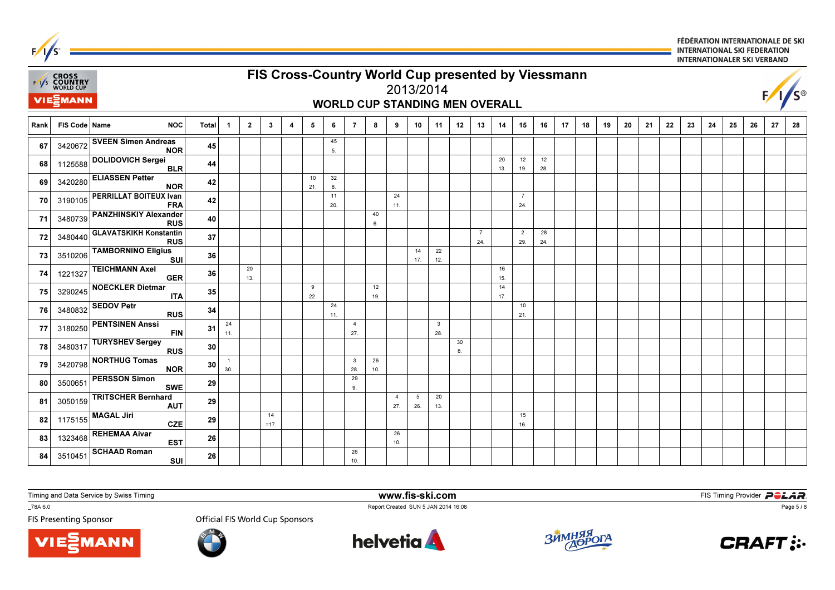| $\mathbf{r}$ |                                                                                                                                                                                                                          |                                             |    |                     |                |              |  |           |           |                       |           |                       |           |                                |         |                       |           |                       |           |  |  |    |    |    | INTERNATIONALER SKI VERBAND |    |    |    |
|--------------|--------------------------------------------------------------------------------------------------------------------------------------------------------------------------------------------------------------------------|---------------------------------------------|----|---------------------|----------------|--------------|--|-----------|-----------|-----------------------|-----------|-----------------------|-----------|--------------------------------|---------|-----------------------|-----------|-----------------------|-----------|--|--|----|----|----|-----------------------------|----|----|----|
|              | FIS Cross-Country World Cup presented by Viessmann<br>EAS CROSS<br>EAS COUNTRY<br>WORLD CUP<br>$F/1/S^{\circ}$<br>2013/2014<br><b>VIE</b> EMANN                                                                          |                                             |    |                     |                |              |  |           |           |                       |           |                       |           |                                |         |                       |           |                       |           |  |  |    |    |    |                             |    |    |    |
|              | <b>WORLD CUP STANDING MEN OVERALL</b><br>21<br>FIS Code   Name<br><b>NOC</b><br>11<br>17<br>18<br>19<br>20<br><b>Total</b><br>$\mathbf{3}$<br>5<br>$\overline{7}$<br>8<br>9<br>13<br>14<br>15<br>16<br>$\mathbf{1}$<br>4 |                                             |    |                     |                |              |  |           |           |                       |           |                       |           |                                |         |                       |           |                       |           |  |  |    |    |    |                             |    |    |    |
| Rank         |                                                                                                                                                                                                                          |                                             |    |                     | $\overline{2}$ |              |  |           | 6         |                       |           |                       | 10        |                                | 12      |                       |           |                       |           |  |  | 22 | 23 | 24 | 25                          | 26 | 27 | 28 |
| 67           | 3420672                                                                                                                                                                                                                  | <b>SVEEN Simen Andreas</b><br><b>NOR</b>    | 45 |                     |                |              |  |           | 45<br>5.  |                       |           |                       |           |                                |         |                       |           |                       |           |  |  |    |    |    |                             |    |    |    |
| 68           | 1125588                                                                                                                                                                                                                  | <b>DOLIDOVICH Sergei</b><br><b>BLR</b>      | 44 |                     |                |              |  |           |           |                       |           |                       |           |                                |         |                       | 20<br>13. | 12<br>19.             | 12<br>28. |  |  |    |    |    |                             |    |    |    |
| 69           | 3420280                                                                                                                                                                                                                  | <b>ELIASSEN Petter</b><br><b>NOR</b>        | 42 |                     |                |              |  | 10<br>21. | 32<br>8.  |                       |           |                       |           |                                |         |                       |           |                       |           |  |  |    |    |    |                             |    |    |    |
| 70           | 3190105                                                                                                                                                                                                                  | <b>PERRILLAT BOITEUX Ivan</b><br><b>FRA</b> | 42 |                     |                |              |  |           | 11<br>20. |                       |           | 24<br>11.             |           |                                |         |                       |           | $\overline{7}$<br>24. |           |  |  |    |    |    |                             |    |    |    |
| 71           | 3480739                                                                                                                                                                                                                  | <b>PANZHINSKIY Alexander</b><br><b>RUS</b>  | 40 |                     |                |              |  |           |           |                       | 40<br>6.  |                       |           |                                |         |                       |           |                       |           |  |  |    |    |    |                             |    |    |    |
| 72           | 3480440                                                                                                                                                                                                                  | <b>GLAVATSKIKH Konstantin</b><br><b>RUS</b> | 37 |                     |                |              |  |           |           |                       |           |                       |           |                                |         | $\overline{7}$<br>24. |           | $\overline{2}$<br>29. | 28<br>24. |  |  |    |    |    |                             |    |    |    |
| 73           | 3510206                                                                                                                                                                                                                  | <b>TAMBORNINO Eligius</b><br><b>SUI</b>     | 36 |                     |                |              |  |           |           |                       |           |                       | 14<br>17. | 22<br>12.                      |         |                       |           |                       |           |  |  |    |    |    |                             |    |    |    |
| 74           | 1221327                                                                                                                                                                                                                  | <b>TEICHMANN Axel</b><br><b>GER</b>         | 36 |                     | 20<br>13.      |              |  |           |           |                       |           |                       |           |                                |         |                       | 16<br>15. |                       |           |  |  |    |    |    |                             |    |    |    |
| 75           | 3290245                                                                                                                                                                                                                  | <b>NOECKLER Dietmar</b><br><b>ITA</b>       | 35 |                     |                |              |  | 9<br>22.  |           |                       | 12<br>19. |                       |           |                                |         |                       | 14<br>17. |                       |           |  |  |    |    |    |                             |    |    |    |
| 76           | 3480832                                                                                                                                                                                                                  | <b>SEDOV Petr</b><br><b>RUS</b>             | 34 |                     |                |              |  |           | 24<br>11. |                       |           |                       |           |                                |         |                       |           | 10<br>21.             |           |  |  |    |    |    |                             |    |    |    |
| 77           | 3180250                                                                                                                                                                                                                  | <b>PENTSINEN Anssi</b><br><b>FIN</b>        | 31 | 24<br>11.           |                |              |  |           |           | $\overline{4}$<br>27. |           |                       |           | $\overline{\mathbf{3}}$<br>28. |         |                       |           |                       |           |  |  |    |    |    |                             |    |    |    |
| 78           | 3480317                                                                                                                                                                                                                  | <b>TURYSHEV Sergey</b><br><b>RUS</b>        | 30 |                     |                |              |  |           |           |                       |           |                       |           |                                | 30<br>8 |                       |           |                       |           |  |  |    |    |    |                             |    |    |    |
| 79           | 3420798                                                                                                                                                                                                                  | <b>NORTHUG Tomas</b><br><b>NOR</b>          | 30 | $\mathbf{1}$<br>30. |                |              |  |           |           | $\mathbf{3}$<br>28.   | 26<br>10. |                       |           |                                |         |                       |           |                       |           |  |  |    |    |    |                             |    |    |    |
| 80           | 3500651                                                                                                                                                                                                                  | <b>PERSSON Simon</b><br><b>SWE</b>          | 29 |                     |                |              |  |           |           | 29<br>9.              |           |                       |           |                                |         |                       |           |                       |           |  |  |    |    |    |                             |    |    |    |
| 81           | 3050159                                                                                                                                                                                                                  | <b>TRITSCHER Bernhard</b><br><b>AUT</b>     | 29 |                     |                |              |  |           |           |                       |           | $\overline{4}$<br>27. | 5<br>26.  | 20<br>13.                      |         |                       |           |                       |           |  |  |    |    |    |                             |    |    |    |
| 82           | 1175155                                                                                                                                                                                                                  | <b>MAGAL Jiri</b><br><b>CZE</b>             | 29 |                     |                | 14<br>$=17.$ |  |           |           |                       |           |                       |           |                                |         |                       |           | 15<br>16.             |           |  |  |    |    |    |                             |    |    |    |
| 83           | 1323468                                                                                                                                                                                                                  | <b>REHEMAA Aivar</b><br><b>EST</b>          | 26 |                     |                |              |  |           |           |                       |           | 26<br>10.             |           |                                |         |                       |           |                       |           |  |  |    |    |    |                             |    |    |    |
| 84           | 3510451                                                                                                                                                                                                                  | <b>SCHAAD Roman</b><br><b>SUI</b>           | 26 |                     |                |              |  |           |           | 26<br>10.             |           |                       |           |                                |         |                       |           |                       |           |  |  |    |    |    |                             |    |    |    |

**VIE MANN** 

\_78A 6.0

 $F/1/s^2$ 

FIS Presenting Sponsor

Report Created SUN 5 JAN 2014 16:08<br>Official FIS World Cup Sponsors





www.fis-ski.com



**m**<br>A 16:08 **FIS Timing Provider** 



FÉDÉRATION INTERNATIONALE DE SKI

**INTERNATIONAL SKI FEDERATION** 

Page 5 / 8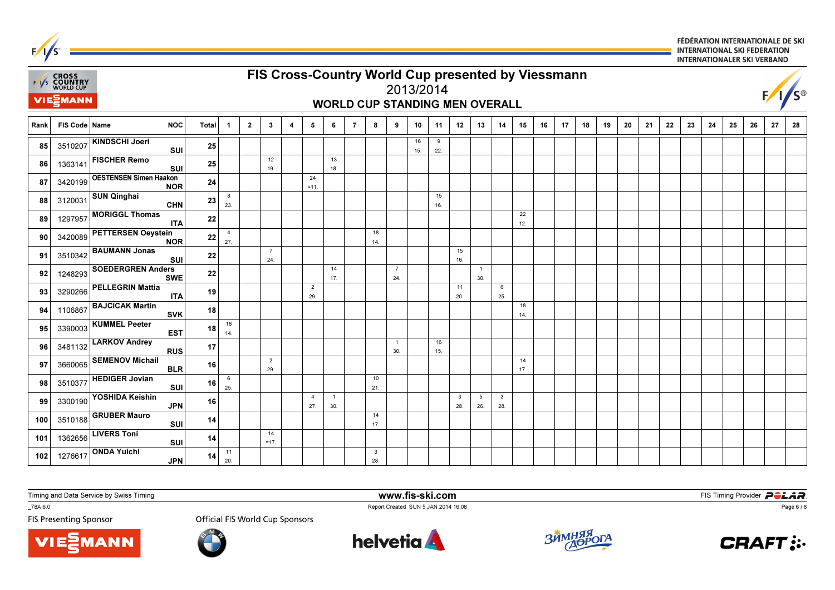

**VIE***MANN* 

\_78A 6.0

**FIS Presenting Sponsor** 

**Official FIS World Cup Sponsors** 



www.fis-ski.com

Report Created SUN 5 JAN 2014 16:08



**m**<br>A 16:08 **FIS Timing Provider** 



Page 6 / 8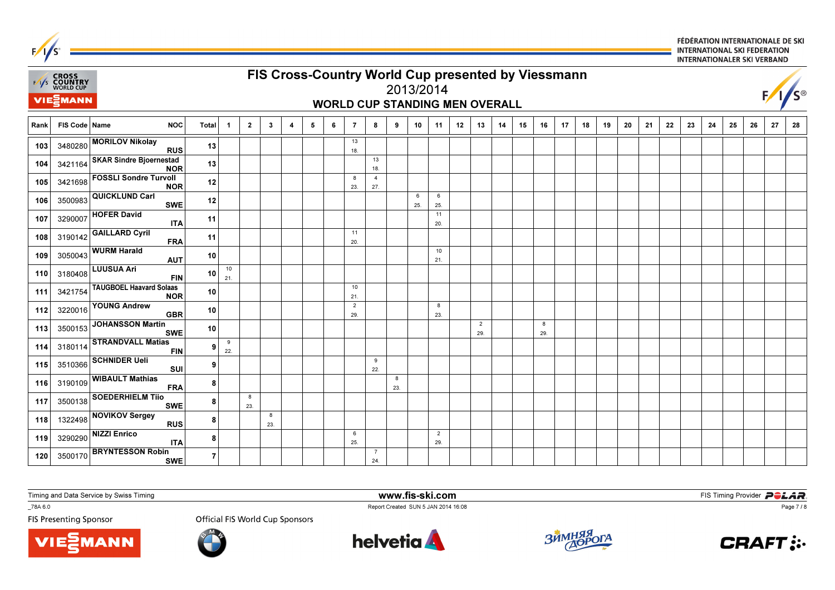

**VIE***MANN* 

\_78A 6.0

**FIS Presenting Sponsor** 

**Official FIS World Cup Sponsors** 



www.fis-ski.com

Report Created SUN 5 JAN 2014 16:08



**m**<br>A 16:08 **FIS Timing Provider** 



Page 7 / 8